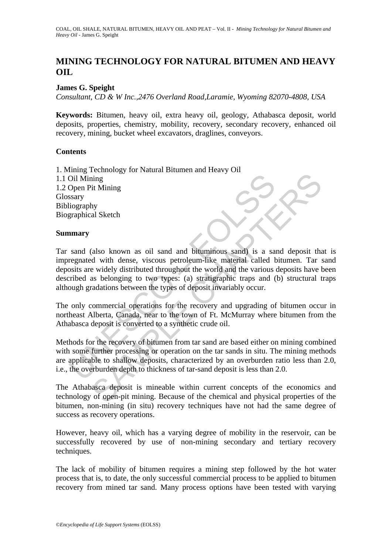# **MINING TECHNOLOGY FOR NATURAL BITUMEN AND HEAVY OIL**

## **James G. Speight**

*Consultant, CD & W Inc.,2476 Overland Road,Laramie, Wyoming 82070-4808, USA* 

**Keywords:** Bitumen, heavy oil, extra heavy oil, geology, Athabasca deposit, world deposits, properties, chemistry, mobility, recovery, secondary recovery, enhanced oil recovery, mining, bucket wheel excavators, draglines, conveyors.

### **Contents**

1. Mining Technology for Natural Bitumen and Heavy Oil 1.1 Oil Mining 1.2 Open Pit Mining **Glossary** Bibliography Biographical Sketch

### **Summary**

Oil Mining<br>
Open Pit Mining<br>
Seary<br>
Ulography<br>
Seary<br>
Ulography<br>
Seary<br>
Seary<br>
Seary<br>
Seary<br>
Seary<br>
Seary<br>
Seary<br>
Seary<br>
Seary<br>
Search and and bituminous sand) is a sa-<br>
Search and the various<br>
Sosits are widely distribute The same of the content of the content of the content of the content of the entire of the entire of the entirely distributed through the world and the beying to two types: (a) straigraphic traps and (b) structural to as a Tar sand (also known as oil sand and bituminous sand) is a sand deposit that is impregnated with dense, viscous petroleum-like material called bitumen. Tar sand deposits are widely distributed throughout the world and the various deposits have been described as belonging to two types: (a) stratigraphic traps and (b) structural traps although gradations between the types of deposit invariably occur.

The only commercial operations for the recovery and upgrading of bitumen occur in northeast Alberta, Canada, near to the town of Ft. McMurray where bitumen from the Athabasca deposit is converted to a synthetic crude oil.

Methods for the recovery of bitumen from tar sand are based either on mining combined with some further processing or operation on the tar sands in situ. The mining methods are applicable to shallow deposits, characterized by an overburden ratio less than 2.0, i.e., the overburden depth to thickness of tar-sand deposit is less than 2.0.

The Athabasca deposit is mineable within current concepts of the economics and technology of open-pit mining. Because of the chemical and physical properties of the bitumen, non-mining (in situ) recovery techniques have not had the same degree of success as recovery operations.

However, heavy oil, which has a varying degree of mobility in the reservoir, can be successfully recovered by use of non-mining secondary and tertiary recovery techniques.

The lack of mobility of bitumen requires a mining step followed by the hot water process that is, to date, the only successful commercial process to be applied to bitumen recovery from mined tar sand. Many process options have been tested with varying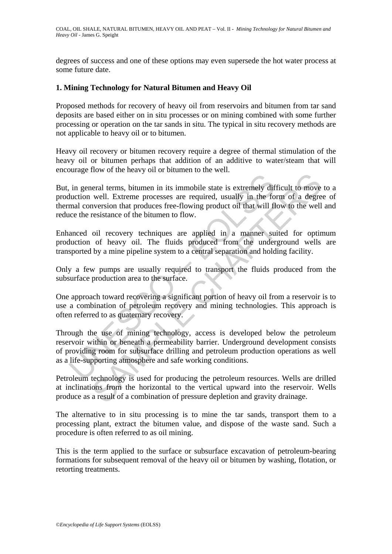degrees of success and one of these options may even supersede the hot water process at some future date.

### **1. Mining Technology for Natural Bitumen and Heavy Oil**

Proposed methods for recovery of heavy oil from reservoirs and bitumen from tar sand deposits are based either on in situ processes or on mining combined with some further processing or operation on the tar sands in situ. The typical in situ recovery methods are not applicable to heavy oil or to bitumen.

Heavy oil recovery or bitumen recovery require a degree of thermal stimulation of the heavy oil or bitumen perhaps that addition of an additive to water/steam that will encourage flow of the heavy oil or bitumen to the well.

is used to the production and solvent and solvent resources<br>the solution of the solvent resolution well. Extreme processes are required, usually in the formal conversion that produces free-flowing product oil that will flu Example the matrix of the is extremely difficult to move<br>
well. Extreme processes are required, usually in the form of a degre<br>
well. Extreme processes are required, usually in the form of a degre<br>
resistance of the bitume But, in general terms, bitumen in its immobile state is extremely difficult to move to a production well. Extreme processes are required, usually in the form of a degree of thermal conversion that produces free-flowing product oil that will flow to the well and reduce the resistance of the bitumen to flow.

Enhanced oil recovery techniques are applied in a manner suited for optimum production of heavy oil. The fluids produced from the underground wells are transported by a mine pipeline system to a central separation and holding facility.

Only a few pumps are usually required to transport the fluids produced from the subsurface production area to the surface.

One approach toward recovering a significant portion of heavy oil from a reservoir is to use a combination of petroleum recovery and mining technologies. This approach is often referred to as quaternary recovery.

Through the use of mining technology, access is developed below the petroleum reservoir within or beneath a permeability barrier. Underground development consists of providing room for subsurface drilling and petroleum production operations as well as a life-supporting atmosphere and safe working conditions.

Petroleum technology is used for producing the petroleum resources. Wells are drilled at inclinations from the horizontal to the vertical upward into the reservoir. Wells produce as a result of a combination of pressure depletion and gravity drainage.

The alternative to in situ processing is to mine the tar sands, transport them to a processing plant, extract the bitumen value, and dispose of the waste sand. Such a procedure is often referred to as oil mining.

This is the term applied to the surface or subsurface excavation of petroleum-bearing formations for subsequent removal of the heavy oil or bitumen by washing, flotation, or retorting treatments.